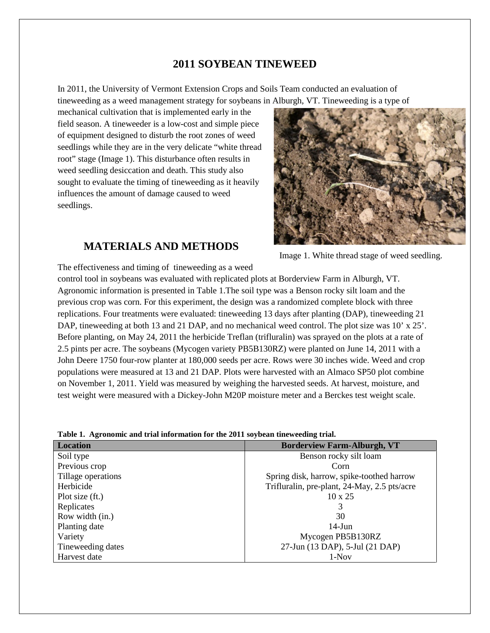## **2011 SOYBEAN TINEWEED**

In 2011, the University of Vermont Extension Crops and Soils Team conducted an evaluation of tineweeding as a weed management strategy for soybeans in Alburgh, VT. Tineweeding is a type of

mechanical cultivation that is implemented early in the field season. A tineweeder is a low-cost and simple piece of equipment designed to disturb the root zones of weed seedlings while they are in the very delicate "white thread root" stage (Image 1). This disturbance often results in weed seedling desiccation and death. This study also sought to evaluate the timing of tineweeding as it heavily influences the amount of damage caused to weed seedlings.



## **MATERIALS AND METHODS**

Image 1. White thread stage of weed seedling.

The effectiveness and timing of tineweeding as a weed control tool in soybeans was evaluated with replicated plots at Borderview Farm in Alburgh, VT. Agronomic information is presented in Table 1.The soil type was a Benson rocky silt loam and the previous crop was corn. For this experiment, the design was a randomized complete block with three replications. Four treatments were evaluated: tineweeding 13 days after planting (DAP), tineweeding 21 DAP, tineweeding at both 13 and 21 DAP, and no mechanical weed control. The plot size was 10' x 25'. Before planting, on May 24, 2011 the herbicide Treflan (trifluralin) was sprayed on the plots at a rate of 2.5 pints per acre. The soybeans (Mycogen variety PB5B130RZ) were planted on June 14, 2011 with a John Deere 1750 four-row planter at 180,000 seeds per acre. Rows were 30 inches wide. Weed and crop populations were measured at 13 and 21 DAP. Plots were harvested with an Almaco SP50 plot combine on November 1, 2011. Yield was measured by weighing the harvested seeds. At harvest, moisture, and test weight were measured with a Dickey-John M20P moisture meter and a Berckes test weight scale.

|  | Table 1. Agronomic and trial information for the 2011 soybean tineweeding trial. |  |  |
|--|----------------------------------------------------------------------------------|--|--|
|  |                                                                                  |  |  |

| <b>Location</b>    | <b>Borderview Farm-Alburgh, VT</b>           |
|--------------------|----------------------------------------------|
| Soil type          | Benson rocky silt loam                       |
| Previous crop      | Corn                                         |
| Tillage operations | Spring disk, harrow, spike-toothed harrow    |
| Herbicide          | Trifluralin, pre-plant, 24-May, 2.5 pts/acre |
| Plot size (ft.)    | $10 \times 25$                               |
| Replicates         | 3                                            |
| Row width (in.)    | 30                                           |
| Planting date      | $14$ -Jun                                    |
| Variety            | Mycogen PB5B130RZ                            |
| Tineweeding dates  | 27-Jun (13 DAP), 5-Jul (21 DAP)              |
| Harvest date       | $1-Nov$                                      |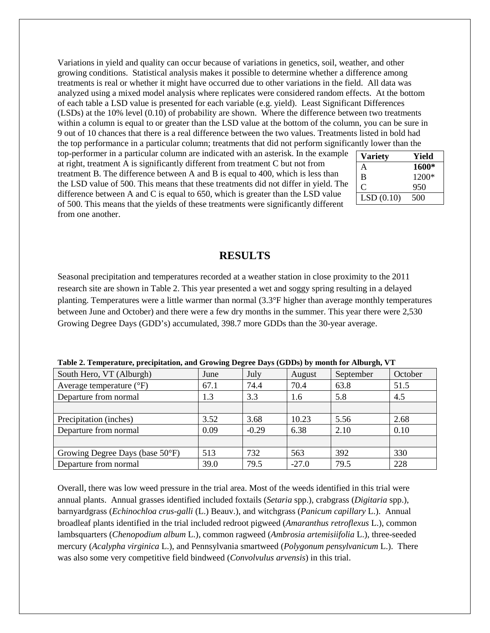Variations in yield and quality can occur because of variations in genetics, soil, weather, and other growing conditions. Statistical analysis makes it possible to determine whether a difference among treatments is real or whether it might have occurred due to other variations in the field. All data was analyzed using a mixed model analysis where replicates were considered random effects. At the bottom of each table a LSD value is presented for each variable (e.g. yield). Least Significant Differences (LSDs) at the 10% level (0.10) of probability are shown. Where the difference between two treatments within a column is equal to or greater than the LSD value at the bottom of the column, you can be sure in 9 out of 10 chances that there is a real difference between the two values. Treatments listed in bold had the top performance in a particular column; treatments that did not perform significantly lower than the

top-performer in a particular column are indicated with an asterisk. In the example at right, treatment A is significantly different from treatment C but not from treatment B. The difference between A and B is equal to 400, which is less than the LSD value of 500. This means that these treatments did not differ in yield. The difference between A and C is equal to 650, which is greater than the LSD value of 500. This means that the yields of these treatments were significantly different from one another.

| <b>Variety</b> | Yield   |
|----------------|---------|
| А              | 1600*   |
| B              | $1200*$ |
|                | 950     |
| LSD(0.10)      | 500     |

## **RESULTS**

Seasonal precipitation and temperatures recorded at a weather station in close proximity to the 2011 research site are shown in Table 2. This year presented a wet and soggy spring resulting in a delayed planting. Temperatures were a little warmer than normal (3.3°F higher than average monthly temperatures between June and October) and there were a few dry months in the summer. This year there were 2,530 Growing Degree Days (GDD's) accumulated, 398.7 more GDDs than the 30-year average.

| South Hero, VT (Alburgh)            | June | July    | August  | September | October |
|-------------------------------------|------|---------|---------|-----------|---------|
| Average temperature $({}^{\circ}F)$ | 67.1 | 74.4    | 70.4    | 63.8      | 51.5    |
| Departure from normal               | 1.3  | 3.3     | 1.6     | 5.8       | 4.5     |
|                                     |      |         |         |           |         |
| Precipitation (inches)              | 3.52 | 3.68    | 10.23   | 5.56      | 2.68    |
| Departure from normal               | 0.09 | $-0.29$ | 6.38    | 2.10      | 0.10    |
|                                     |      |         |         |           |         |
| Growing Degree Days (base 50°F)     | 513  | 732     | 563     | 392       | 330     |
| Departure from normal               | 39.0 | 79.5    | $-27.0$ | 79.5      | 228     |

**Table 2. Temperature, precipitation, and Growing Degree Days (GDDs) by month for Alburgh, VT**

Overall, there was low weed pressure in the trial area. Most of the weeds identified in this trial were annual plants. Annual grasses identified included foxtails (*Setaria* spp.), crabgrass (*Digitaria* spp.), barnyardgrass (*Echinochloa crus-galli* (L.) Beauv.), and witchgrass (*Panicum capillary* L.). Annual broadleaf plants identified in the trial included redroot pigweed (*Amaranthus retroflexus* L.), common lambsquarters (*Chenopodium album* L.), common ragweed (*Ambrosia artemisiifolia* L.), three-seeded mercury (*Acalypha virginica* L.), and Pennsylvania smartweed (*Polygonum pensylvanicum* L.). There was also some very competitive field bindweed (*Convolvulus arvensis*) in this trial.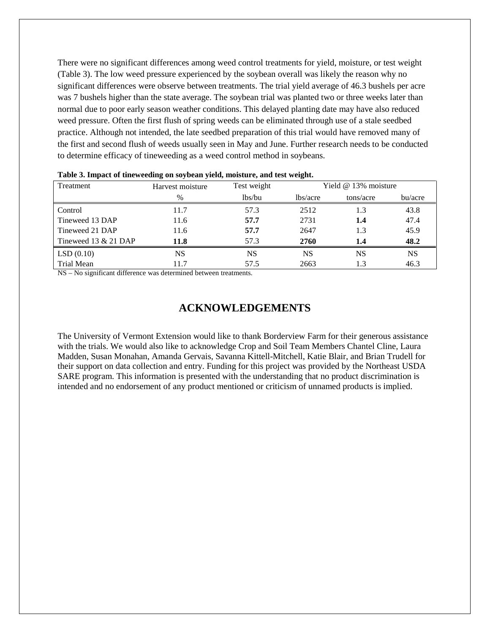There were no significant differences among weed control treatments for yield, moisture, or test weight (Table 3). The low weed pressure experienced by the soybean overall was likely the reason why no significant differences were observe between treatments. The trial yield average of 46.3 bushels per acre was 7 bushels higher than the state average. The soybean trial was planted two or three weeks later than normal due to poor early season weather conditions. This delayed planting date may have also reduced weed pressure. Often the first flush of spring weeds can be eliminated through use of a stale seedbed practice. Although not intended, the late seedbed preparation of this trial would have removed many of the first and second flush of weeds usually seen in May and June. Further research needs to be conducted to determine efficacy of tineweeding as a weed control method in soybeans.

| Treatment              | Harvest moisture | Test weight | Yield $@13\%$ moisture |     |           |
|------------------------|------------------|-------------|------------------------|-----|-----------|
|                        | $\%$             | lbs/bu      | lbs/acre<br>tons/acre  |     | bu/acre   |
| Control                | 11.7             | 57.3        | 2512                   | 1.3 | 43.8      |
| Tineweed 13 DAP        | 11.6             | 57.7        | 2731                   | 1.4 | 47.4      |
| Tineweed 21 DAP        | 11.6             | 57.7        | 2647                   | 1.3 | 45.9      |
| Tineweed 13 $& 21$ DAP | 11.8             | 57.3        | 2760                   | 1.4 | 48.2      |
| LSD(0.10)              | <b>NS</b>        | <b>NS</b>   | NS                     | NS  | <b>NS</b> |
| Trial Mean             | 11.7             | 57.5        | 2663                   | 1.3 | 46.3      |

|  | Table 3. Impact of tineweeding on soybean yield, moisture, and test weight. |  |  |  |
|--|-----------------------------------------------------------------------------|--|--|--|
|  |                                                                             |  |  |  |

NS – No significant difference was determined between treatments.

## **ACKNOWLEDGEMENTS**

The University of Vermont Extension would like to thank Borderview Farm for their generous assistance with the trials. We would also like to acknowledge Crop and Soil Team Members Chantel Cline, Laura Madden, Susan Monahan, Amanda Gervais, Savanna Kittell-Mitchell, Katie Blair, and Brian Trudell for their support on data collection and entry. Funding for this project was provided by the Northeast USDA SARE program. This information is presented with the understanding that no product discrimination is intended and no endorsement of any product mentioned or criticism of unnamed products is implied.